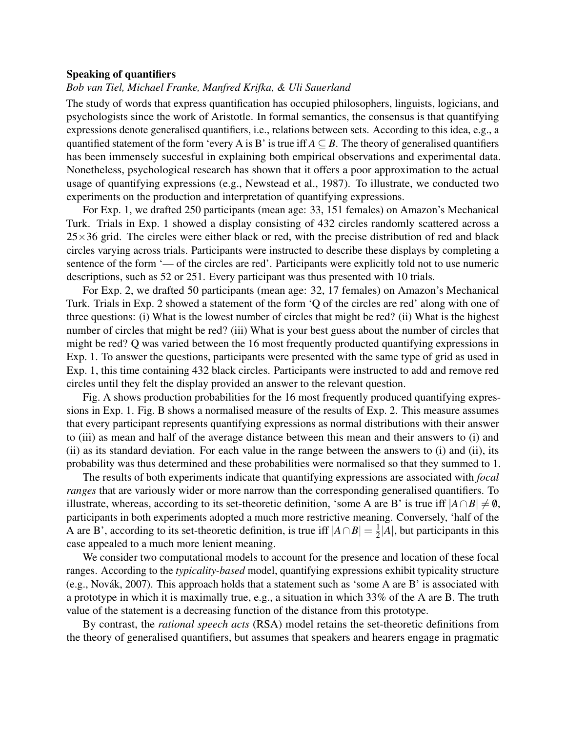## Speaking of quantifiers

## *Bob van Tiel, Michael Franke, Manfred Krifka, & Uli Sauerland*

The study of words that express quantification has occupied philosophers, linguists, logicians, and psychologists since the work of Aristotle. In formal semantics, the consensus is that quantifying expressions denote generalised quantifiers, i.e., relations between sets. According to this idea, e.g., a quantified statement of the form 'every A is B' is true iff  $A \subseteq B$ . The theory of generalised quantifiers has been immensely succesful in explaining both empirical observations and experimental data. Nonetheless, psychological research has shown that it offers a poor approximation to the actual usage of quantifying expressions (e.g., Newstead et al., 1987). To illustrate, we conducted two experiments on the production and interpretation of quantifying expressions.

For Exp. 1, we drafted 250 participants (mean age: 33, 151 females) on Amazon's Mechanical Turk. Trials in Exp. 1 showed a display consisting of 432 circles randomly scattered across a  $25\times36$  grid. The circles were either black or red, with the precise distribution of red and black circles varying across trials. Participants were instructed to describe these displays by completing a sentence of the form '— of the circles are red'. Participants were explicitly told not to use numeric descriptions, such as 52 or 251. Every participant was thus presented with 10 trials.

For Exp. 2, we drafted 50 participants (mean age: 32, 17 females) on Amazon's Mechanical Turk. Trials in Exp. 2 showed a statement of the form 'Q of the circles are red' along with one of three questions: (i) What is the lowest number of circles that might be red? (ii) What is the highest number of circles that might be red? (iii) What is your best guess about the number of circles that might be red? Q was varied between the 16 most frequently producted quantifying expressions in Exp. 1. To answer the questions, participants were presented with the same type of grid as used in Exp. 1, this time containing 432 black circles. Participants were instructed to add and remove red circles until they felt the display provided an answer to the relevant question.

Fig. A shows production probabilities for the 16 most frequently produced quantifying expressions in Exp. 1. Fig. B shows a normalised measure of the results of Exp. 2. This measure assumes that every participant represents quantifying expressions as normal distributions with their answer to (iii) as mean and half of the average distance between this mean and their answers to (i) and (ii) as its standard deviation. For each value in the range between the answers to (i) and (ii), its probability was thus determined and these probabilities were normalised so that they summed to 1.

The results of both experiments indicate that quantifying expressions are associated with *focal ranges* that are variously wider or more narrow than the corresponding generalised quantifiers. To illustrate, whereas, according to its set-theoretic definition, 'some A are B' is true iff  $|A \cap B| \neq \emptyset$ , participants in both experiments adopted a much more restrictive meaning. Conversely, 'half of the A are B', according to its set-theoretic definition, is true iff  $|A \cap B| = \frac{1}{2}$  $\frac{1}{2}$ |A|, but participants in this case appealed to a much more lenient meaning.

We consider two computational models to account for the presence and location of these focal ranges. According to the *typicality-based* model, quantifying expressions exhibit typicality structure (e.g., Novák, 2007). This approach holds that a statement such as 'some A are B' is associated with a prototype in which it is maximally true, e.g., a situation in which 33% of the A are B. The truth value of the statement is a decreasing function of the distance from this prototype.

By contrast, the *rational speech acts* (RSA) model retains the set-theoretic definitions from the theory of generalised quantifiers, but assumes that speakers and hearers engage in pragmatic